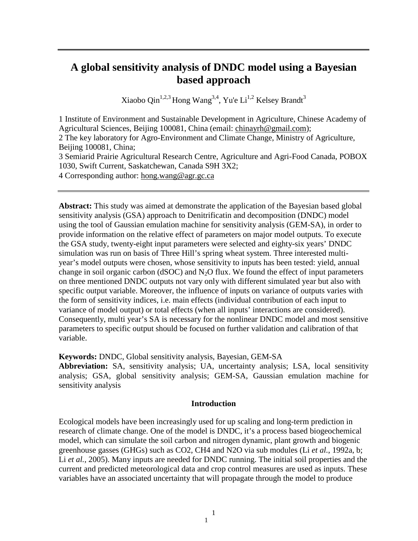# **A global sensitivity analysis of DNDC model using a Bayesian based approach**

Xiaobo Qin<sup>1,2,3</sup> Hong Wang<sup>3,4</sup>, Yu'e Li<sup>1,2</sup> Kelsey Brandt<sup>3</sup>

1 Institute of Environment and Sustainable Development in Agriculture, Chinese Academy of Agricultural Sciences, Beijing 100081, China (email: [chinayrh@gmail.com\)](mailto:chinayrh@gmail.com);

2 The key laboratory for Agro-Environment and Climate Change, Ministry of Agriculture, Beijing 100081, China;

3 Semiarid Prairie Agricultural Research Centre, Agriculture and Agri-Food Canada, POBOX 1030, Swift Current, Saskatchewan, Canada S9H 3X2;

4 Corresponding author: [hong.wang@agr.gc.ca](mailto:hong.wang@agr.gc.ca)

**Abstract:** This study was aimed at demonstrate the application of the Bayesian based global sensitivity analysis (GSA) approach to Denitrificatin and decomposition (DNDC) model using the tool of Gaussian emulation machine for sensitivity analysis (GEM-SA), in order to provide information on the relative effect of parameters on major model outputs. To execute the GSA study, twenty-eight input parameters were selected and eighty-six years' DNDC simulation was run on basis of Three Hill's spring wheat system. Three interested multiyear's model outputs were chosen, whose sensitivity to inputs has been tested: yield, annual change in soil organic carbon ( $dSOC$ ) and  $N<sub>2</sub>O$  flux. We found the effect of input parameters on three mentioned DNDC outputs not vary only with different simulated year but also with specific output variable. Moreover, the influence of inputs on variance of outputs varies with the form of sensitivity indices, i.e. main effects (individual contribution of each input to variance of model output) or total effects (when all inputs' interactions are considered). Consequently, multi year's SA is necessary for the nonlinear DNDC model and most sensitive parameters to specific output should be focused on further validation and calibration of that variable.

**Keywords:** DNDC, Global sensitivity analysis, Bayesian, GEM-SA **Abbreviation:** SA, sensitivity analysis; UA, uncertainty analysis; LSA, local sensitivity analysis; GSA, global sensitivity analysis; GEM-SA, Gaussian emulation machine for sensitivity analysis

#### **Introduction**

Ecological models have been increasingly used for up scaling and long-term prediction in research of climate change. One of the model is DNDC, it's a process based biogeochemical model, which can simulate the soil carbon and nitrogen dynamic, plant growth and biogenic greenhouse gasses (GHGs) such as CO2, CH4 and N2O via sub modules (Li *et al.*, 1992a, b; Li *et al.*, 2005). Many inputs are needed for DNDC running. The initial soil properties and the current and predicted meteorological data and crop control measures are used as inputs. These variables have an associated uncertainty that will propagate through the model to produce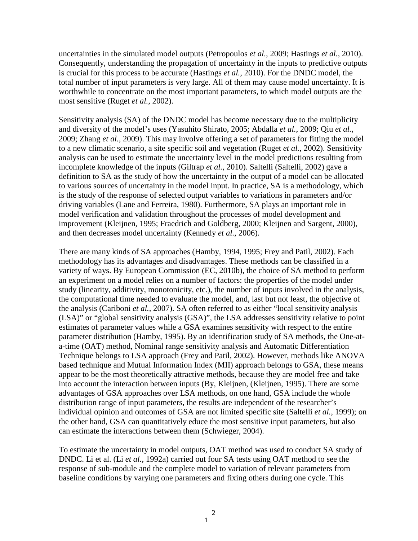uncertainties in the simulated model outputs (Petropoulos *et al.*, 2009; Hastings *et al.*, 2010). Consequently, understanding the propagation of uncertainty in the inputs to predictive outputs is crucial for this process to be accurate (Hastings *et al.*, 2010). For the DNDC model, the total number of input parameters is very large. All of them may cause model uncertainty. It is worthwhile to concentrate on the most important parameters, to which model outputs are the most sensitive (Ruget *et al.*, 2002).

Sensitivity analysis (SA) of the DNDC model has become necessary due to the multiplicity and diversity of the model's uses (Yasuhito Shirato, 2005; Abdalla *et al.*, 2009; Qiu *et al.*, 2009; Zhang *et al.*, 2009). This may involve offering a set of parameters for fitting the model to a new climatic scenario, a site specific soil and vegetation (Ruget *et al.*, 2002). Sensitivity analysis can be used to estimate the uncertainty level in the model predictions resulting from incomplete knowledge of the inputs (Giltrap *et al.*, 2010). Saltelli (Saltelli, 2002) gave a definition to SA as the study of how the uncertainty in the output of a model can be allocated to various sources of uncertainty in the model input. In practice, SA is a methodology, which is the study of the response of selected output variables to variations in parameters and/or driving variables (Lane and Ferreira, 1980). Furthermore, SA plays an important role in model verification and validation throughout the processes of model development and improvement (Kleijnen, 1995; Fraedrich and Goldberg, 2000; Kleijnen and Sargent, 2000), and then decreases model uncertainty (Kennedy *et al.*, 2006).

There are many kinds of SA approaches (Hamby, 1994, 1995; Frey and Patil, 2002). Each methodology has its advantages and disadvantages. These methods can be classified in a variety of ways. By European Commission (EC, 2010b), the choice of SA method to perform an experiment on a model relies on a number of factors: the properties of the model under study (linearity, additivity, monotonicity, etc.), the number of inputs involved in the analysis, the computational time needed to evaluate the model, and, last but not least, the objective of the analysis (Cariboni *et al.*, 2007). SA often referred to as either "local sensitivity analysis (LSA)" or "global sensitivity analysis (GSA)", the LSA addresses sensitivity relative to point estimates of parameter values while a GSA examines sensitivity with respect to the entire parameter distribution (Hamby, 1995). By an identification study of SA methods, the One-ata-time (OAT) method, Nominal range sensitivity analysis and Automatic Differentiation Technique belongs to LSA approach (Frey and Patil, 2002). However, methods like ANOVA based technique and Mutual Information Index (MII) approach belongs to GSA, these means appear to be the most theoretically attractive methods, because they are model free and take into account the interaction between inputs (By, Kleijnen, (Kleijnen, 1995). There are some advantages of GSA approaches over LSA methods, on one hand, GSA include the whole distribution range of input parameters, the results are independent of the researcher's individual opinion and outcomes of GSA are not limited specific site (Saltelli *et al.*, 1999); on the other hand, GSA can quantitatively educe the most sensitive input parameters, but also can estimate the interactions between them (Schwieger, 2004).

To estimate the uncertainty in model outputs, OAT method was used to conduct SA study of DNDC. Li et al. (Li *et al.*, 1992a) carried out four SA tests using OAT method to see the response of sub-module and the complete model to variation of relevant parameters from baseline conditions by varying one parameters and fixing others during one cycle. This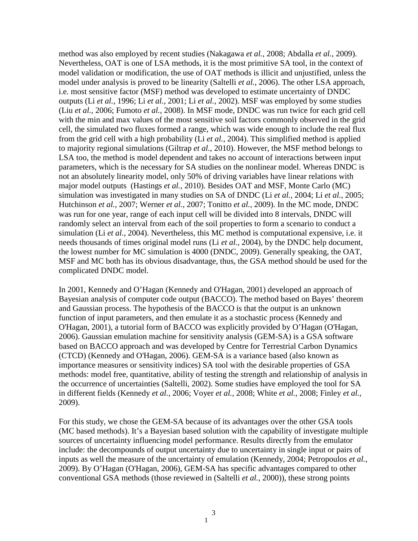method was also employed by recent studies (Nakagawa *et al.*, 2008; Abdalla *et al.*, 2009). Nevertheless, OAT is one of LSA methods, it is the most primitive SA tool, in the context of model validation or modification, the use of OAT methods is illicit and unjustified, unless the model under analysis is proved to be linearity (Saltelli *et al.*, 2006). The other LSA approach, i.e. most sensitive factor (MSF) method was developed to estimate uncertainty of DNDC outputs (Li *et al.*, 1996; Li *et al.*, 2001; Li *et al.*, 2002). MSF was employed by some studies (Liu *et al.*, 2006; Fumoto *et al.*, 2008). In MSF mode, DNDC was run twice for each grid cell with the min and max values of the most sensitive soil factors commonly observed in the grid cell, the simulated two fluxes formed a range, which was wide enough to include the real flux from the grid cell with a high probability (Li *et al.*, 2004). This simplified method is applied to majority regional simulations (Giltrap *et al.*, 2010). However, the MSF method belongs to LSA too, the method is model dependent and takes no account of interactions between input parameters, which is the necessary for SA studies on the nonlinear model. Whereas DNDC is not an absolutely linearity model, only 50% of driving variables have linear relations with major model outputs (Hastings *et al.*, 2010). Besides OAT and MSF, Monte Carlo (MC) simulation was investigated in many studies on SA of DNDC (Li *et al.*, 2004; Li *et al.*, 2005; Hutchinson *et al.*, 2007; Werner *et al.*, 2007; Tonitto *et al.*, 2009). In the MC mode, DNDC was run for one year, range of each input cell will be divided into 8 intervals, DNDC will randomly select an interval from each of the soil properties to form a scenario to conduct a simulation (Li *et al.*, 2004). Nevertheless, this MC method is computational expensive, i.e. it needs thousands of times original model runs (Li *et al.*, 2004), by the DNDC help document, the lowest number for MC simulation is 4000 (DNDC, 2009). Generally speaking, the OAT, MSF and MC both has its obvious disadvantage, thus, the GSA method should be used for the complicated DNDC model.

In 2001, Kennedy and O'Hagan (Kennedy and O'Hagan, 2001) developed an approach of Bayesian analysis of computer code output (BACCO). The method based on Bayes' theorem and Gaussian process. The hypothesis of the BACCO is that the output is an unknown function of input parameters, and then emulate it as a stochastic process (Kennedy and O'Hagan, 2001), a tutorial form of BACCO was explicitly provided by O'Hagan (O'Hagan, 2006). Gaussian emulation machine for sensitivity analysis (GEM-SA) is a GSA software based on BACCO approach and was developed by Centre for Terrestrial Carbon Dynamics (CTCD) (Kennedy and O'Hagan, 2006). GEM-SA is a variance based (also known as importance measures or sensitivity indices) SA tool with the desirable properties of GSA methods: model free, quantitative, ability of testing the strength and relationship of analysis in the occurrence of uncertainties (Saltelli, 2002). Some studies have employed the tool for SA in different fields (Kennedy *et al.*, 2006; Voyer *et al.*, 2008; White *et al.*, 2008; Finley *et al.*, 2009).

For this study, we chose the GEM-SA because of its advantages over the other GSA tools (MC based methods). It's a Bayesian based solution with the capability of investigate multiple sources of uncertainty influencing model performance. Results directly from the emulator include: the decompounds of output uncertainty due to uncertainty in single input or pairs of inputs as well the measure of the uncertainty of emulation (Kennedy, 2004; Petropoulos *et al.*, 2009). By O'Hagan (O'Hagan, 2006), GEM-SA has specific advantages compared to other conventional GSA methods (those reviewed in (Saltelli *et al.*, 2000)), these strong points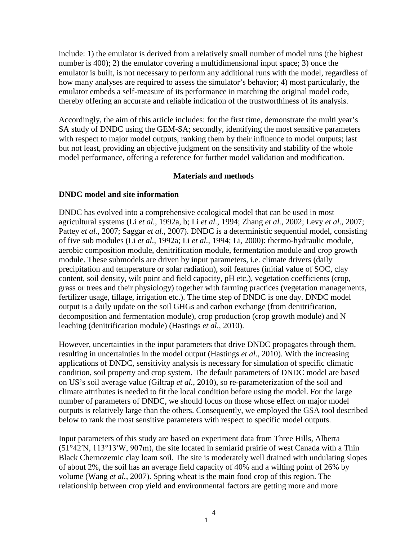include: 1) the emulator is derived from a relatively small number of model runs (the highest number is 400); 2) the emulator covering a multidimensional input space; 3) once the emulator is built, is not necessary to perform any additional runs with the model, regardless of how many analyses are required to assess the simulator's behavior; 4) most particularly, the emulator embeds a self-measure of its performance in matching the original model code, thereby offering an accurate and reliable indication of the trustworthiness of its analysis.

Accordingly, the aim of this article includes: for the first time, demonstrate the multi year's SA study of DNDC using the GEM-SA; secondly, identifying the most sensitive parameters with respect to major model outputs, ranking them by their influence to model outputs; last but not least, providing an objective judgment on the sensitivity and stability of the whole model performance, offering a reference for further model validation and modification.

#### **Materials and methods**

#### **DNDC model and site information**

DNDC has evolved into a comprehensive ecological model that can be used in most agricultural systems (Li *et al.*, 1992a, b; Li *et al.*, 1994; Zhang *et al.*, 2002; Levy *et al.*, 2007; Pattey *et al.*, 2007; Saggar *et al.*, 2007). DNDC is a deterministic sequential model, consisting of five sub modules (Li *et al.*, 1992a; Li *et al.*, 1994; Li, 2000): thermo-hydraulic module, aerobic composition module, denitrification module, fermentation module and crop growth module. These submodels are driven by input parameters, i.e. climate drivers (daily precipitation and temperature or solar radiation), soil features (initial value of SOC, clay content, soil density, wilt point and field capacity, pH etc.), vegetation coefficients (crop, grass or trees and their physiology) together with farming practices (vegetation managements, fertilizer usage, tillage, irrigation etc.). The time step of DNDC is one day. DNDC model output is a daily update on the soil GHGs and carbon exchange (from denitrification, decomposition and fermentation module), crop production (crop growth module) and N leaching (denitrification module) (Hastings *et al.*, 2010).

However, uncertainties in the input parameters that drive DNDC propagates through them, resulting in uncertainties in the model output (Hastings *et al.*, 2010). With the increasing applications of DNDC, sensitivity analysis is necessary for simulation of specific climatic condition, soil property and crop system. The default parameters of DNDC model are based on US's soil average value (Giltrap *et al.*, 2010), so re-parameterization of the soil and climate attributes is needed to fit the local condition before using the model. For the large number of parameters of DNDC, we should focus on those whose effect on major model outputs is relatively large than the others. Consequently, we employed the GSA tool described below to rank the most sensitive parameters with respect to specific model outputs.

Input parameters of this study are based on experiment data from Three Hills, Alberta (51°42′N, 113°13′W, 907m), the site located in semiarid prairie of west Canada with a Thin Black Chernozemic clay loam soil. The site is moderately well drained with undulating slopes of about 2%, the soil has an average field capacity of 40% and a wilting point of 26% by volume (Wang *et al.*, 2007). Spring wheat is the main food crop of this region. The relationship between crop yield and environmental factors are getting more and more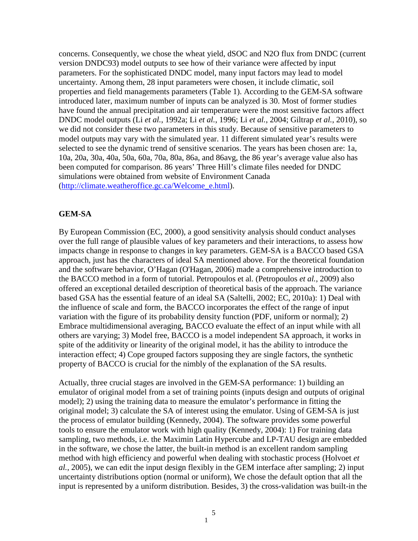concerns. Consequently, we chose the wheat yield, dSOC and N2O flux from DNDC (current version DNDC93) model outputs to see how of their variance were affected by input parameters. For the sophisticated DNDC model, many input factors may lead to model uncertainty. Among them, 28 input parameters were chosen, it include climatic, soil properties and field managements parameters (Table 1). According to the GEM-SA software introduced later, maximum number of inputs can be analyzed is 30. Most of former studies have found the annual precipitation and air temperature were the most sensitive factors affect DNDC model outputs (Li *et al.*, 1992a; Li *et al.*, 1996; Li *et al.*, 2004; Giltrap *et al.*, 2010), so we did not consider these two parameters in this study. Because of sensitive parameters to model outputs may vary with the simulated year. 11 different simulated year's results were selected to see the dynamic trend of sensitive scenarios. The years has been chosen are: 1a, 10a, 20a, 30a, 40a, 50a, 60a, 70a, 80a, 86a, and 86avg, the 86 year's average value also has been computed for comparison. 86 years' Three Hill's climate files needed for DNDC simulations were obtained from website of Environment Canada [\(http://climate.weatheroffice.gc.ca/Welcome\\_e.html\)](http://climate.weatheroffice.gc.ca/Welcome_e.html).

### **GEM-SA**

By European Commission (EC, 2000), a good sensitivity analysis should conduct analyses over the full range of plausible values of key parameters and their interactions, to assess how impacts change in response to changes in key parameters. GEM-SA is a BACCO based GSA approach, just has the characters of ideal SA mentioned above. For the theoretical foundation and the software behavior, O'Hagan (O'Hagan, 2006) made a comprehensive introduction to the BACCO method in a form of tutorial. Petropoulos et al. (Petropoulos *et al.*, 2009) also offered an exceptional detailed description of theoretical basis of the approach. The variance based GSA has the essential feature of an ideal SA (Saltelli, 2002; EC, 2010a): 1) Deal with the influence of scale and form, the BACCO incorporates the effect of the range of input variation with the figure of its probability density function (PDF, uniform or normal); 2) Embrace multidimensional averaging, BACCO evaluate the effect of an input while with all others are varying; 3) Model free, BACCO is a model independent SA approach, it works in spite of the additivity or linearity of the original model, it has the ability to introduce the interaction effect; 4) Cope grouped factors supposing they are single factors, the synthetic property of BACCO is crucial for the nimbly of the explanation of the SA results.

Actually, three crucial stages are involved in the GEM-SA performance: 1) building an emulator of original model from a set of training points (inputs design and outputs of original model); 2) using the training data to measure the emulator's performance in fitting the original model; 3) calculate the SA of interest using the emulator. Using of GEM-SA is just the process of emulator building (Kennedy, 2004). The software provides some powerful tools to ensure the emulator work with high quality (Kennedy, 2004): 1) For training data sampling, two methods, i.e. the Maximin Latin Hypercube and LP-TAU design are embedded in the software, we chose the latter, the built-in method is an excellent random sampling method with high efficiency and powerful when dealing with stochastic process (Holvoet *et al.*, 2005), we can edit the input design flexibly in the GEM interface after sampling; 2) input uncertainty distributions option (normal or uniform), We chose the default option that all the input is represented by a uniform distribution. Besides, 3) the cross-validation was built-in the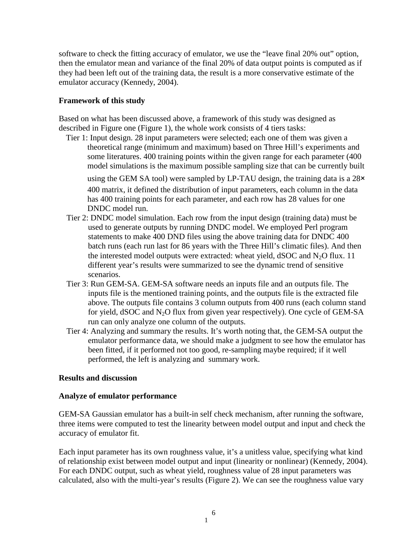software to check the fitting accuracy of emulator, we use the "leave final 20% out" option, then the emulator mean and variance of the final 20% of data output points is computed as if they had been left out of the training data, the result is a more conservative estimate of the emulator accuracy (Kennedy, 2004).

#### **Framework of this study**

Based on what has been discussed above, a framework of this study was designed as described in Figure one (Figure 1), the whole work consists of 4 tiers tasks:

Tier 1: Input design. 28 input parameters were selected; each one of them was given a theoretical range (minimum and maximum) based on Three Hill's experiments and some literatures. 400 training points within the given range for each parameter (400 model simulations is the maximum possible sampling size that can be currently built

using the GEM SA tool) were sampled by LP-TAU design, the training data is a  $28\times$ 400 matrix, it defined the distribution of input parameters, each column in the data has 400 training points for each parameter, and each row has 28 values for one DNDC model run.

- Tier 2: DNDC model simulation. Each row from the input design (training data) must be used to generate outputs by running DNDC model. We employed Perl program statements to make 400 DND files using the above training data for DNDC 400 batch runs (each run last for 86 years with the Three Hill's climatic files). And then the interested model outputs were extracted: wheat yield, dSOC and  $N_2O$  flux. 11 different year's results were summarized to see the dynamic trend of sensitive scenarios.
- Tier 3: Run GEM-SA. GEM-SA software needs an inputs file and an outputs file. The inputs file is the mentioned training points, and the outputs file is the extracted file above. The outputs file contains 3 column outputs from 400 runs (each column stand for yield,  $dSOC$  and  $N<sub>2</sub>O$  flux from given year respectively). One cycle of GEM-SA run can only analyze one column of the outputs.
- Tier 4: Analyzing and summary the results. It's worth noting that, the GEM-SA output the emulator performance data, we should make a judgment to see how the emulator has been fitted, if it performed not too good, re-sampling maybe required; if it well performed, the left is analyzing and summary work.

#### **Results and discussion**

#### **Analyze of emulator performance**

GEM-SA Gaussian emulator has a built-in self check mechanism, after running the software, three items were computed to test the linearity between model output and input and check the accuracy of emulator fit.

Each input parameter has its own roughness value, it's a unitless value, specifying what kind of relationship exist between model output and input (linearity or nonlinear) (Kennedy, 2004). For each DNDC output, such as wheat yield, roughness value of 28 input parameters was calculated, also with the multi-year's results (Figure 2). We can see the roughness value vary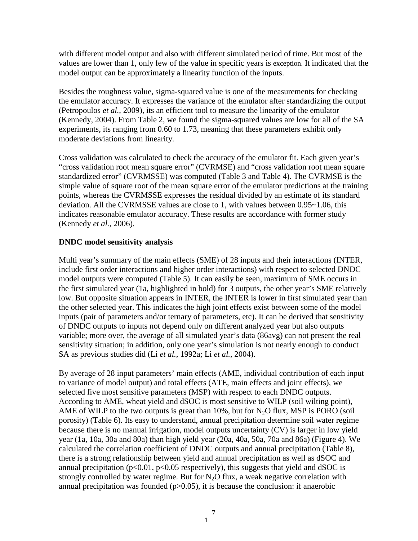with different model output and also with different simulated period of time. But most of the values are lower than 1, only few of the value in specific years is exception. It indicated that the model output can be approximately a linearity function of the inputs.

Besides the roughness value, sigma-squared value is one of the measurements for checking the emulator accuracy. It expresses the variance of the emulator after standardizing the output (Petropoulos *et al.*, 2009), its an efficient tool to measure the linearity of the emulator (Kennedy, 2004). From Table 2, we found the sigma-squared values are low for all of the SA experiments, its ranging from 0.60 to 1.73, meaning that these parameters exhibit only moderate deviations from linearity.

Cross validation was calculated to check the accuracy of the emulator fit. Each given year's "cross validation root mean square error" (CVRMSE) and "cross validation root mean square standardized error" (CVRMSSE) was computed (Table 3 and Table 4). The CVRMSE is the simple value of square root of the mean square error of the emulator predictions at the training points, whereas the CVRMSSE expresses the residual divided by an estimate of its standard deviation. All the CVRMSSE values are close to 1, with values between 0.95~1.06, this indicates reasonable emulator accuracy. These results are accordance with former study (Kennedy *et al.*, 2006).

## **DNDC model sensitivity analysis**

Multi year's summary of the main effects (SME) of 28 inputs and their interactions (INTER, include first order interactions and higher order interactions) with respect to selected DNDC model outputs were computed (Table 5). It can easily be seen, maximum of SME occurs in the first simulated year (1a, highlighted in bold) for 3 outputs, the other year's SME relatively low. But opposite situation appears in INTER, the INTER is lower in first simulated year than the other selected year. This indicates the high joint effects exist between some of the model inputs (pair of parameters and/or ternary of parameters, etc). It can be derived that sensitivity of DNDC outputs to inputs not depend only on different analyzed year but also outputs variable; more over, the average of all simulated year's data (86avg) can not present the real sensitivity situation; in addition, only one year's simulation is not nearly enough to conduct SA as previous studies did (Li *et al.*, 1992a; Li *et al.*, 2004).

By average of 28 input parameters' main effects (AME, individual contribution of each input to variance of model output) and total effects (ATE, main effects and joint effects), we selected five most sensitive parameters (MSP) with respect to each DNDC outputs. According to AME, wheat yield and dSOC is most sensitive to WILP (soil wilting point), AME of WILP to the two outputs is great than 10%, but for  $N_2O$  flux, MSP is PORO (soil porosity) (Table 6). Its easy to understand, annual precipitation determine soil water regime because there is no manual irrigation, model outputs uncertainty (CV) is larger in low yield year (1a, 10a, 30a and 80a) than high yield year (20a, 40a, 50a, 70a and 86a) (Figure 4). We calculated the correlation coefficient of DNDC outputs and annual precipitation (Table 8), there is a strong relationship between yield and annual precipitation as well as dSOC and annual precipitation ( $p<0.01$ ,  $p<0.05$  respectively), this suggests that yield and dSOC is strongly controlled by water regime. But for  $N_2O$  flux, a weak negative correlation with annual precipitation was founded  $(p>0.05)$ , it is because the conclusion: if anaerobic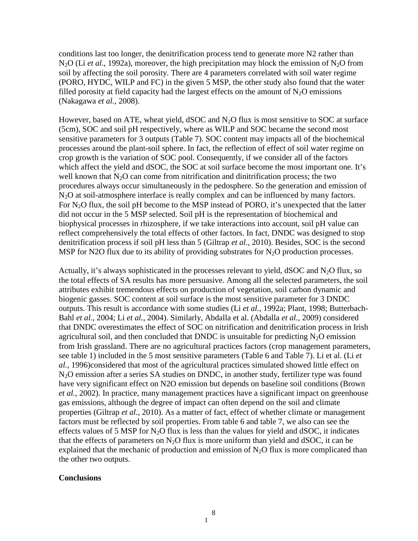conditions last too longer, the denitrification process tend to generate more N2 rather than  $N_2O$  (Li *et al.*, 1992a), moreover, the high precipitation may block the emission of  $N_2O$  from soil by affecting the soil porosity. There are 4 parameters correlated with soil water regime (PORO, HYDC, WILP and FC) in the given 5 MSP, the other study also found that the water filled porosity at field capacity had the largest effects on the amount of  $N_2O$  emissions (Nakagawa *et al.*, 2008).

However, based on ATE, wheat yield,  $dSOC$  and  $N<sub>2</sub>O$  flux is most sensitive to SOC at surface (5cm), SOC and soil pH respectively, where as WILP and SOC became the second most sensitive parameters for 3 outputs (Table 7). SOC content may impacts all of the biochemical processes around the plant-soil sphere. In fact, the reflection of effect of soil water regime on crop growth is the variation of SOC pool. Consequently, if we consider all of the factors which affect the yield and dSOC, the SOC at soil surface become the most important one. It's well known that  $N_2O$  can come from nitrification and dinitrification process; the two procedures always occur simultaneously in the pedosphere. So the generation and emission of N<sub>2</sub>O at soil-atmosphere interface is really complex and can be influenced by many factors. For  $N_2O$  flux, the soil pH become to the MSP instead of PORO, it's unexpected that the latter did not occur in the 5 MSP selected. Soil pH is the representation of biochemical and biophysical processes in rhizosphere, if we take interactions into account, soil pH value can reflect comprehensively the total effects of other factors. In fact, DNDC was designed to stop denitrification process if soil pH less than 5 (Giltrap *et al.*, 2010). Besides, SOC is the second MSP for N2O flux due to its ability of providing substrates for  $N_2O$  production processes.

Actually, it's always sophisticated in the processes relevant to yield, dSOC and  $N_2O$  flux, so the total effects of SA results has more persuasive. Among all the selected parameters, the soil attributes exhibit tremendous effects on production of vegetation, soil carbon dynamic and biogenic gasses. SOC content at soil surface is the most sensitive parameter for 3 DNDC outputs. This result is accordance with some studies (Li *et al.*, 1992a; Plant, 1998; Butterbach-Bahl *et al.*, 2004; Li *et al.*, 2004). Similarly, Abdalla et al. (Abdalla *et al.*, 2009) considered that DNDC overestimates the effect of SOC on nitrification and denitrification process in Irish agricultural soil, and then concluded that DNDC is unsuitable for predicting  $N_2O$  emission from Irish grassland. There are no agricultural practices factors (crop management parameters, see table 1) included in the 5 most sensitive parameters (Table 6 and Table 7). Li et al. (Li *et al.*, 1996)considered that most of the agricultural practices simulated showed little effect on N2O emission after a series SA studies on DNDC, in another study, fertilizer type was found have very significant effect on N2O emission but depends on baseline soil conditions (Brown *et al.*, 2002). In practice, many management practices have a significant impact on greenhouse gas emissions, although the degree of impact can often depend on the soil and climate properties (Giltrap *et al.*, 2010). As a matter of fact, effect of whether climate or management factors must be reflected by soil properties. From table 6 and table 7, we also can see the effects values of 5 MSP for  $N_2O$  flux is less than the values for yield and dSOC, it indicates that the effects of parameters on  $N_2O$  flux is more uniform than yield and dSOC, it can be explained that the mechanic of production and emission of  $N<sub>2</sub>O$  flux is more complicated than the other two outputs.

#### **Conclusions**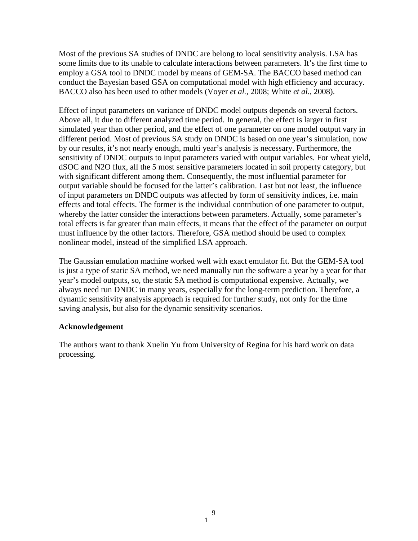Most of the previous SA studies of DNDC are belong to local sensitivity analysis. LSA has some limits due to its unable to calculate interactions between parameters. It's the first time to employ a GSA tool to DNDC model by means of GEM-SA. The BACCO based method can conduct the Bayesian based GSA on computational model with high efficiency and accuracy. BACCO also has been used to other models (Voyer *et al.*, 2008; White *et al.*, 2008).

Effect of input parameters on variance of DNDC model outputs depends on several factors. Above all, it due to different analyzed time period. In general, the effect is larger in first simulated year than other period, and the effect of one parameter on one model output vary in different period. Most of previous SA study on DNDC is based on one year's simulation, now by our results, it's not nearly enough, multi year's analysis is necessary. Furthermore, the sensitivity of DNDC outputs to input parameters varied with output variables. For wheat yield, dSOC and N2O flux, all the 5 most sensitive parameters located in soil property category, but with significant different among them. Consequently, the most influential parameter for output variable should be focused for the latter's calibration. Last but not least, the influence of input parameters on DNDC outputs was affected by form of sensitivity indices, i.e. main effects and total effects. The former is the individual contribution of one parameter to output, whereby the latter consider the interactions between parameters. Actually, some parameter's total effects is far greater than main effects, it means that the effect of the parameter on output must influence by the other factors. Therefore, GSA method should be used to complex nonlinear model, instead of the simplified LSA approach.

The Gaussian emulation machine worked well with exact emulator fit. But the GEM-SA tool is just a type of static SA method, we need manually run the software a year by a year for that year's model outputs, so, the static SA method is computational expensive. Actually, we always need run DNDC in many years, especially for the long-term prediction. Therefore, a dynamic sensitivity analysis approach is required for further study, not only for the time saving analysis, but also for the dynamic sensitivity scenarios.

#### **Acknowledgement**

The authors want to thank Xuelin Yu from University of Regina for his hard work on data processing.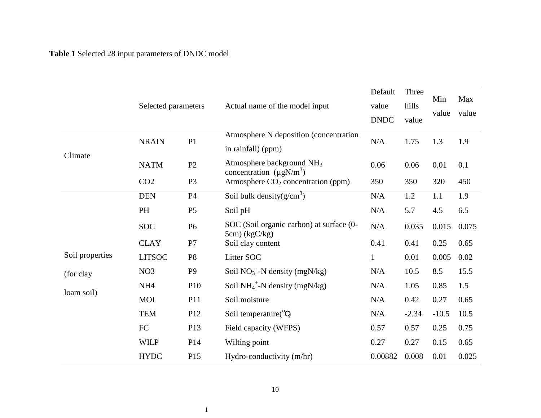# **Table 1** Selected 28 input parameters of DNDC model

|                 | Selected parameters |                 | Actual name of the model input                                                     | Default<br>value<br><b>DNDC</b> | Three<br>hills<br>value | Min<br>value | Max<br>value |
|-----------------|---------------------|-----------------|------------------------------------------------------------------------------------|---------------------------------|-------------------------|--------------|--------------|
|                 | <b>NRAIN</b>        | P1              | Atmosphere N deposition (concentration<br>in rainfall) (ppm)                       | N/A                             | 1.75                    | 1.3          | 1.9          |
| Climate         | <b>NATM</b>         | P2              | Atmosphere background NH <sub>3</sub><br>concentration ( $\mu$ gN/m <sup>3</sup> ) | 0.06                            | 0.06                    | 0.01         | 0.1          |
|                 | CO <sub>2</sub>     | P <sub>3</sub>  | Atmosphere $CO2$ concentration (ppm)                                               | 350                             | 350                     | 320          | 450          |
|                 | <b>DEN</b>          | P4              | Soil bulk density $(g/cm^3)$                                                       | N/A                             | 1.2                     | 1.1          | 1.9          |
|                 | PH                  | P <sub>5</sub>  | Soil pH                                                                            | N/A                             | 5.7                     | 4.5          | 6.5          |
|                 | <b>SOC</b>          | P <sub>6</sub>  | SOC (Soil organic carbon) at surface (0-<br>$5cm)$ (kgC/kg)                        | N/A                             | 0.035                   | 0.015        | 0.075        |
|                 | <b>CLAY</b>         | P7              | Soil clay content                                                                  | 0.41                            | 0.41                    | 0.25         | 0.65         |
| Soil properties | <b>LITSOC</b>       | P <sub>8</sub>  | Litter SOC                                                                         | $\mathbf{1}$                    | 0.01                    | 0.005        | 0.02         |
| (for clay       | NO <sub>3</sub>     | P <sub>9</sub>  | Soil $NO_3^-$ -N density (mgN/kg)                                                  | N/A                             | 10.5                    | 8.5          | 15.5         |
|                 | NH <sub>4</sub>     | P <sub>10</sub> | Soil NH <sub>4</sub> <sup>+</sup> -N density (mgN/kg)                              | N/A                             | 1.05                    | 0.85         | 1.5          |
| loam soil)      | <b>MOI</b>          | P11             | Soil moisture                                                                      | N/A                             | 0.42                    | 0.27         | 0.65         |
|                 | <b>TEM</b>          | P <sub>12</sub> | Soil temperature(°C)                                                               | N/A                             | $-2.34$                 | $-10.5$      | 10.5         |
|                 | FC                  | P13             | Field capacity (WFPS)                                                              | 0.57                            | 0.57                    | 0.25         | 0.75         |
|                 | <b>WILP</b>         | P <sub>14</sub> | Wilting point                                                                      | 0.27                            | 0.27                    | 0.15         | 0.65         |
|                 | <b>HYDC</b>         | P15             | Hydro-conductivity (m/hr)                                                          | 0.00882                         | 0.008                   | 0.01         | 0.025        |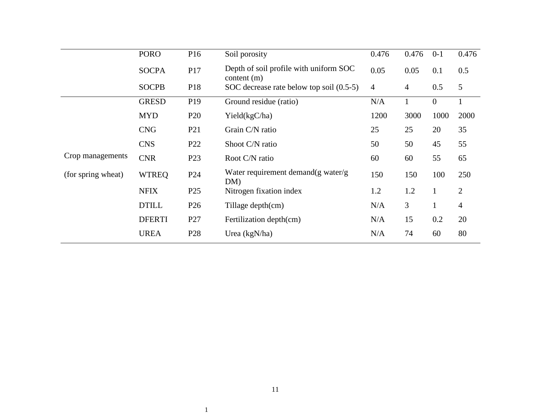|                    | <b>PORO</b>   | P <sub>16</sub> | Soil porosity                                           | 0.476 | 0.476          | $0 - 1$      | 0.476          |
|--------------------|---------------|-----------------|---------------------------------------------------------|-------|----------------|--------------|----------------|
|                    | <b>SOCPA</b>  | P17             | Depth of soil profile with uniform SOC<br>content $(m)$ | 0.05  | 0.05           | 0.1          | 0.5            |
|                    | <b>SOCPB</b>  | P18             | SOC decrease rate below top soil (0.5-5)                | 4     | $\overline{4}$ | 0.5          | 5              |
|                    | <b>GRESD</b>  | P <sub>19</sub> | Ground residue (ratio)                                  | N/A   | 1              | $\mathbf{0}$ |                |
|                    | <b>MYD</b>    | P <sub>20</sub> | Yield(kgC/ha)                                           | 1200  | 3000           | 1000         | 2000           |
|                    | <b>CNG</b>    | P <sub>21</sub> | Grain C/N ratio                                         | 25    | 25             | 20           | 35             |
|                    | <b>CNS</b>    | P <sub>22</sub> | Shoot C/N ratio                                         | 50    | 50             | 45           | 55             |
| Crop managements   | <b>CNR</b>    | P <sub>23</sub> | Root C/N ratio                                          | 60    | 60             | 55           | 65             |
| (for spring wheat) | <b>WTREQ</b>  | P <sub>24</sub> | Water requirement demand(g water/g<br>DM)               | 150   | 150            | 100          | 250            |
|                    | <b>NFIX</b>   | P <sub>25</sub> | Nitrogen fixation index                                 | 1.2   | 1.2            | $\mathbf{1}$ | $\overline{2}$ |
|                    | <b>DTILL</b>  | P <sub>26</sub> | Tillage depth(cm)                                       | N/A   | 3              | $\mathbf{1}$ | $\overline{4}$ |
|                    | <b>DFERTI</b> | P <sub>27</sub> | Fertilization depth(cm)                                 | N/A   | 15             | 0.2          | 20             |
|                    | <b>UREA</b>   | P <sub>28</sub> | Urea $(kgN/ha)$                                         | N/A   | 74             | 60           | 80             |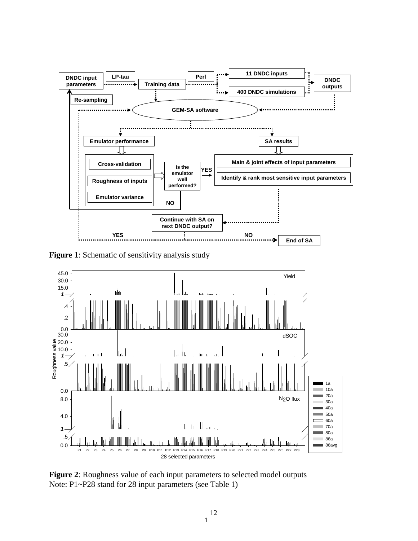

**Figure 1**: Schematic of sensitivity analysis study



**Figure 2**: Roughness value of each input parameters to selected model outputs Note: P1~P28 stand for 28 input parameters (see Table 1)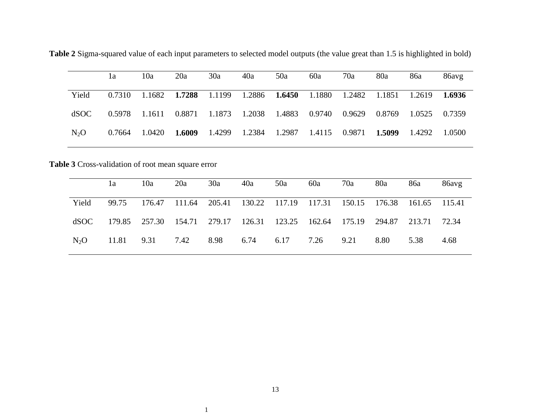**Table 2** Sigma-squared value of each input parameters to selected model outputs (the value great than 1.5 is highlighted in bold)

|                  | l a    | 10a    | 20a                                | 30a    | 40a    | 50a    | 60a    | 70a           | 80a    | 86a    | 86avg    |
|------------------|--------|--------|------------------------------------|--------|--------|--------|--------|---------------|--------|--------|----------|
| Yield            | 0.7310 |        | 1.1682 <b>1.7288</b> 1.1199 1.2886 |        |        | 1.6450 | 1.1880 | 1.2482 1.1851 |        | 1.2619 | - 1.6936 |
| dSOC             | 0.5978 | 1.1611 | 0.8871                             | 1.1873 | 1.2038 | 1.4883 | 0.9740 | 0.9629        | 0.8769 | 1.0525 | 0.7359   |
| N <sub>2</sub> O | 0.7664 | 1.0420 | 1.6009                             | 1.4299 | 1.2384 | 1.2987 | 1.4115 | 0.9871        | 1.5099 | 1.4292 | 1.0500   |

**Table 3** Cross-validation of root mean square error

|                  | 1a     | 10a    | 20a           | 30a                                                            | 40a                  | 50a  | 60a    | 70a    | 80a    | 86a    | 86avg |
|------------------|--------|--------|---------------|----------------------------------------------------------------|----------------------|------|--------|--------|--------|--------|-------|
| Yield            | 99.75  | 176.47 |               | 111.64 205.41 130.22 117.19 117.31 150.15 176.38 161.65 115.41 |                      |      |        |        |        |        |       |
| dSOC             | 179.85 |        | 257.30 154.71 |                                                                | 279.17 126.31 123.25 |      | 162.64 | 175.19 | 294.87 | 213.71 | 72.34 |
| N <sub>2</sub> O | 11.81  | 9.31   | 7.42          | 8.98                                                           | 6.74                 | 6.17 | 7.26   | 9.21   | 8.80   | 5.38   | 4.68  |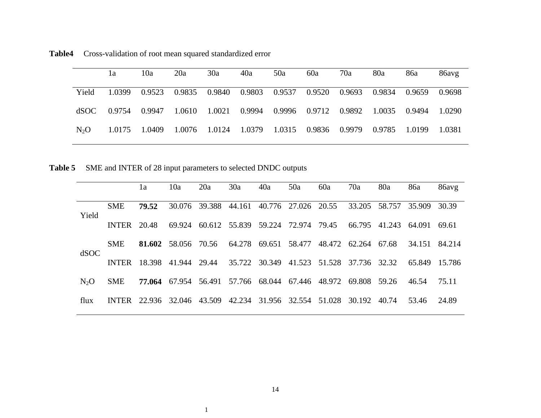|                  | 1a     | 10a    | 20a    | 30a    | 40a    | 50a    | 60a    | 70a           | 80a    | 86a    | 86avg  |
|------------------|--------|--------|--------|--------|--------|--------|--------|---------------|--------|--------|--------|
| Yield            | 1.0399 | 0.9523 | 0.9835 | 0.9840 | 0.9803 | 0.9537 | 0.9520 | 0.9693        | 0.9834 | 0.9659 | 0.9698 |
| dSOC             | 0.9754 | 0.9947 | 1.0610 | 1.0021 | 0.9994 | 0.9996 | 0.9712 | 0.9892 1.0035 |        | 0.9494 | 1.0290 |
| N <sub>2</sub> O | 1.0175 | 1.0409 | 1.0076 | 1.0124 | 1.0379 | 1.0315 | 0.9836 | 0.9979        | 0.9785 | 1.0199 | 1.0381 |

**Table4** Cross-validation of root mean squared standardized error

**Table 5** SME and INTER of 28 input parameters to selected DNDC outputs

|                  |              | 1a     | 10a    | 20a    | 30a           | 40a           | 50a    | 60a           | 70a          | 80a    | 86a    | 86avg  |
|------------------|--------------|--------|--------|--------|---------------|---------------|--------|---------------|--------------|--------|--------|--------|
| Yield            | <b>SME</b>   | 79.52  | 30.076 | 39.388 | 44.161        | 40.776        | 27.026 | 20.55         | 33.205       | 58.757 | 35.909 | 30.39  |
|                  | <b>INTER</b> | 20.48  | 69.924 |        | 60.612 55.839 | 59.224        | 72.974 | 79.45         | 66.795       | 41.243 | 64.091 | 69.61  |
| dSOC             | <b>SME</b>   | 81.602 | 58.056 | 70.56  | 64.278        | 69.651        | 58.477 | 48.472        | 62.264       | 67.68  | 34.151 | 84.214 |
|                  | <b>INTER</b> | 18.398 | 41.944 | 29.44  | 35.722        | 30.349        |        | 41.523 51.528 | 37.736 32.32 |        | 65.849 | 15.786 |
| N <sub>2</sub> O | <b>SME</b>   | 77.064 | 67.954 | 56.491 |               | 57.766 68.044 | 67.446 | 48.972        | 69.808 59.26 |        | 46.54  | 75.11  |
| flux             | <b>INTER</b> | 22.936 | 32.046 | 43.509 | 42.234        | 31.956        | 32.554 | 51.028        | 30.192       | 40.74  | 53.46  | 24.89  |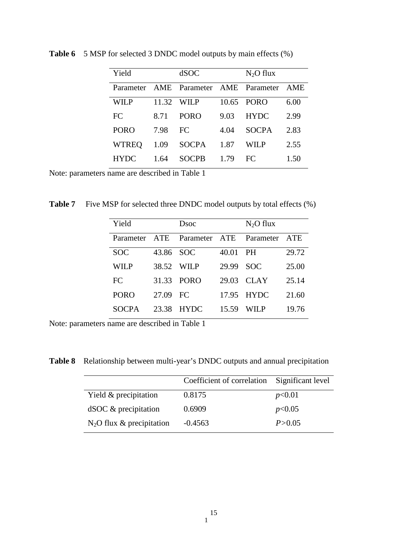| Yield        |      | dSOC                                      |      | $N_2O$ flux  |      |
|--------------|------|-------------------------------------------|------|--------------|------|
|              |      | Parameter AME Parameter AME Parameter AME |      |              |      |
| <b>WILP</b>  |      | 11.32 WILP                                |      | 10.65 PORO   | 6.00 |
| FC           | 8.71 | <b>PORO</b>                               | 9.03 | <b>HYDC</b>  | 2.99 |
| <b>PORO</b>  | 7.98 | FC                                        | 4.04 | <b>SOCPA</b> | 2.83 |
| <b>WTREO</b> | 1.09 | <b>SOCPA</b>                              | 1.87 | WILP         | 2.55 |
| <b>HYDC</b>  | 1.64 | <b>SOCPB</b>                              | 1.79 | FC.          | 1.50 |

**Table 6** 5 MSP for selected 3 DNDC model outputs by main effects (%)

Note: parameters name are described in Table 1

**Table 7** Five MSP for selected three DNDC model outputs by total effects (%)

| Yield         |       | Dsoc                    |       | $N_2O$ flux |            |
|---------------|-------|-------------------------|-------|-------------|------------|
| Parameter ATE |       | Parameter ATE Parameter |       |             | <b>ATE</b> |
| <b>SOC</b>    | 43.86 | - SOC                   | 40.01 | <b>PH</b>   | 29.72      |
| WILP          | 38.52 | WILP                    | 29.99 | <b>SOC</b>  | 25.00      |
| FC            | 31.33 | <b>PORO</b>             | 29.03 | CLAY        | 25.14      |
| <b>PORO</b>   | 27.09 | FC                      | 17.95 | <b>HYDC</b> | 21.60      |
| <b>SOCPA</b>  | 23.38 | <b>HYDC</b>             | 15.59 | WIL P       | 19.76      |

Note: parameters name are described in Table 1

**Table 8** Relationship between multi-year's DNDC outputs and annual precipitation

|                             | Coefficient of correlation | Significant level |
|-----------------------------|----------------------------|-------------------|
| Yield & precipitation       | 0.8175                     | p<0.01            |
| $dSOC \&$ precipitation     | 0.6909                     | p<0.05            |
| $N_2O$ flux & precipitation | $-0.4563$                  | P > 0.05          |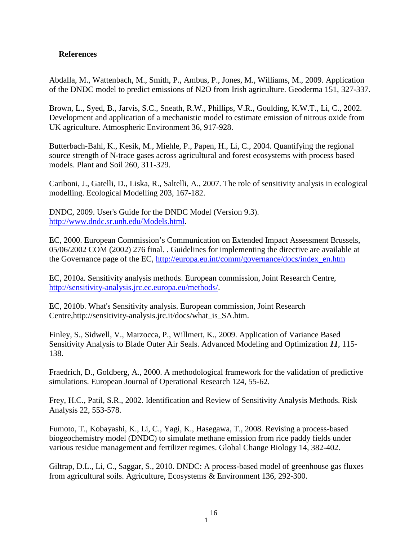### **References**

Abdalla, M., Wattenbach, M., Smith, P., Ambus, P., Jones, M., Williams, M., 2009. Application of the DNDC model to predict emissions of N2O from Irish agriculture. Geoderma 151, 327-337.

Brown, L., Syed, B., Jarvis, S.C., Sneath, R.W., Phillips, V.R., Goulding, K.W.T., Li, C., 2002. Development and application of a mechanistic model to estimate emission of nitrous oxide from UK agriculture. Atmospheric Environment 36, 917-928.

Butterbach-Bahl, K., Kesik, M., Miehle, P., Papen, H., Li, C., 2004. Quantifying the regional source strength of N-trace gases across agricultural and forest ecosystems with process based models. Plant and Soil 260, 311-329.

Cariboni, J., Gatelli, D., Liska, R., Saltelli, A., 2007. The role of sensitivity analysis in ecological modelling. Ecological Modelling 203, 167-182.

DNDC, 2009. User's Guide for the DNDC Model (Version 9.3). [http://www.dndc.sr.unh.edu/Models.html.](http://www.dndc.sr.unh.edu/Models.html)

EC, 2000. European Commission's Communication on Extended Impact Assessment Brussels, 05/06/2002 COM (2002) 276 final. . Guidelines for implementing the directive are available at the Governance page of the EC, [http://europa.eu.int/comm/governance/docs/index\\_en.htm](http://europa.eu.int/comm/governance/docs/index_en.htm)

EC, 2010a. Sensitivity analysis methods. European commission, Joint Research Centre, [http://sensitivity-analysis.jrc.ec.europa.eu/methods/.](http://sensitivity-analysis.jrc.ec.europa.eu/methods/)

EC, 2010b. What's Sensitivity analysis. European commission, Joint Research Centre,http://sensitivity-analysis.jrc.it/docs/what\_is\_SA.htm.

Finley, S., Sidwell, V., Marzocca, P., Willmert, K., 2009. Application of Variance Based Sensitivity Analysis to Blade Outer Air Seals. Advanced Modeling and Optimization *11*, 115- 138.

Fraedrich, D., Goldberg, A., 2000. A methodological framework for the validation of predictive simulations. European Journal of Operational Research 124, 55-62.

Frey, H.C., Patil, S.R., 2002. Identification and Review of Sensitivity Analysis Methods. Risk Analysis 22, 553-578.

Fumoto, T., Kobayashi, K., Li, C., Yagi, K., Hasegawa, T., 2008. Revising a process-based biogeochemistry model (DNDC) to simulate methane emission from rice paddy fields under various residue management and fertilizer regimes. Global Change Biology 14, 382-402.

Giltrap, D.L., Li, C., Saggar, S., 2010. DNDC: A process-based model of greenhouse gas fluxes from agricultural soils. Agriculture, Ecosystems & Environment 136, 292-300.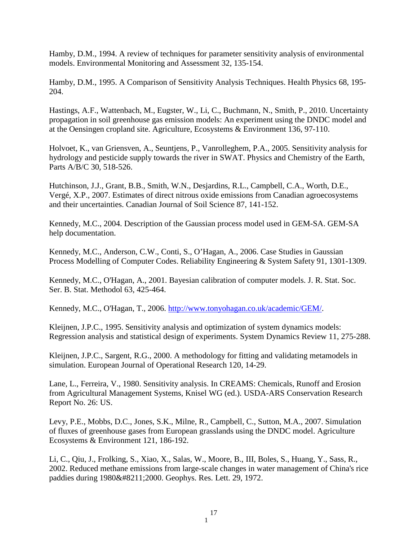Hamby, D.M., 1994. A review of techniques for parameter sensitivity analysis of environmental models. Environmental Monitoring and Assessment 32, 135-154.

Hamby, D.M., 1995. A Comparison of Sensitivity Analysis Techniques. Health Physics 68, 195- 204.

Hastings, A.F., Wattenbach, M., Eugster, W., Li, C., Buchmann, N., Smith, P., 2010. Uncertainty propagation in soil greenhouse gas emission models: An experiment using the DNDC model and at the Oensingen cropland site. Agriculture, Ecosystems & Environment 136, 97-110.

Holvoet, K., van Griensven, A., Seuntjens, P., Vanrolleghem, P.A., 2005. Sensitivity analysis for hydrology and pesticide supply towards the river in SWAT. Physics and Chemistry of the Earth, Parts A/B/C 30, 518-526.

Hutchinson, J.J., Grant, B.B., Smith, W.N., Desjardins, R.L., Campbell, C.A., Worth, D.E., Vergé, X.P., 2007. Estimates of direct nitrous oxide emissions from Canadian agroecosystems and their uncertainties. Canadian Journal of Soil Science 87, 141-152.

Kennedy, M.C., 2004. Description of the Gaussian process model used in GEM-SA. GEM-SA help documentation.

Kennedy, M.C., Anderson, C.W., Conti, S., O'Hagan, A., 2006. Case Studies in Gaussian Process Modelling of Computer Codes. Reliability Engineering & System Safety 91, 1301-1309.

Kennedy, M.C., O'Hagan, A., 2001. Bayesian calibration of computer models. J. R. Stat. Soc. Ser. B. Stat. Methodol 63, 425-464.

Kennedy, M.C., O'Hagan, T., 2006. [http://www.tonyohagan.co.uk/academic/GEM/.](http://www.tonyohagan.co.uk/academic/GEM/)

Kleijnen, J.P.C., 1995. Sensitivity analysis and optimization of system dynamics models: Regression analysis and statistical design of experiments. System Dynamics Review 11, 275-288.

Kleijnen, J.P.C., Sargent, R.G., 2000. A methodology for fitting and validating metamodels in simulation. European Journal of Operational Research 120, 14-29.

Lane, L., Ferreira, V., 1980. Sensitivity analysis. In CREAMS: Chemicals, Runoff and Erosion from Agricultural Management Systems, Knisel WG (ed.). USDA-ARS Conservation Research Report No. 26: US.

Levy, P.E., Mobbs, D.C., Jones, S.K., Milne, R., Campbell, C., Sutton, M.A., 2007. Simulation of fluxes of greenhouse gases from European grasslands using the DNDC model. Agriculture Ecosystems & Environment 121, 186-192.

Li, C., Qiu, J., Frolking, S., Xiao, X., Salas, W., Moore, B., III, Boles, S., Huang, Y., Sass, R., 2002. Reduced methane emissions from large-scale changes in water management of China's rice paddies during 1980–2000. Geophys. Res. Lett. 29, 1972.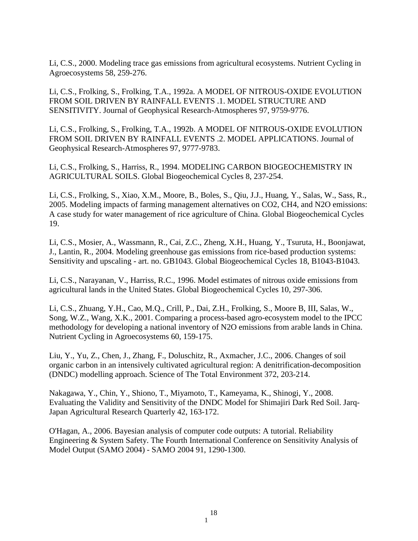Li, C.S., 2000. Modeling trace gas emissions from agricultural ecosystems. Nutrient Cycling in Agroecosystems 58, 259-276.

Li, C.S., Frolking, S., Frolking, T.A., 1992a. A MODEL OF NITROUS-OXIDE EVOLUTION FROM SOIL DRIVEN BY RAINFALL EVENTS .1. MODEL STRUCTURE AND SENSITIVITY. Journal of Geophysical Research-Atmospheres 97, 9759-9776.

Li, C.S., Frolking, S., Frolking, T.A., 1992b. A MODEL OF NITROUS-OXIDE EVOLUTION FROM SOIL DRIVEN BY RAINFALL EVENTS .2. MODEL APPLICATIONS. Journal of Geophysical Research-Atmospheres 97, 9777-9783.

Li, C.S., Frolking, S., Harriss, R., 1994. MODELING CARBON BIOGEOCHEMISTRY IN AGRICULTURAL SOILS. Global Biogeochemical Cycles 8, 237-254.

Li, C.S., Frolking, S., Xiao, X.M., Moore, B., Boles, S., Qiu, J.J., Huang, Y., Salas, W., Sass, R., 2005. Modeling impacts of farming management alternatives on CO2, CH4, and N2O emissions: A case study for water management of rice agriculture of China. Global Biogeochemical Cycles 19.

Li, C.S., Mosier, A., Wassmann, R., Cai, Z.C., Zheng, X.H., Huang, Y., Tsuruta, H., Boonjawat, J., Lantin, R., 2004. Modeling greenhouse gas emissions from rice-based production systems: Sensitivity and upscaling - art. no. GB1043. Global Biogeochemical Cycles 18, B1043-B1043.

Li, C.S., Narayanan, V., Harriss, R.C., 1996. Model estimates of nitrous oxide emissions from agricultural lands in the United States. Global Biogeochemical Cycles 10, 297-306.

Li, C.S., Zhuang, Y.H., Cao, M.Q., Crill, P., Dai, Z.H., Frolking, S., Moore B, III, Salas, W., Song, W.Z., Wang, X.K., 2001. Comparing a process-based agro-ecosystem model to the IPCC methodology for developing a national inventory of N2O emissions from arable lands in China. Nutrient Cycling in Agroecosystems 60, 159-175.

Liu, Y., Yu, Z., Chen, J., Zhang, F., Doluschitz, R., Axmacher, J.C., 2006. Changes of soil organic carbon in an intensively cultivated agricultural region: A denitrification-decomposition (DNDC) modelling approach. Science of The Total Environment 372, 203-214.

Nakagawa, Y., Chin, Y., Shiono, T., Miyamoto, T., Kameyama, K., Shinogi, Y., 2008. Evaluating the Validity and Sensitivity of the DNDC Model for Shimajiri Dark Red Soil. Jarq-Japan Agricultural Research Quarterly 42, 163-172.

O'Hagan, A., 2006. Bayesian analysis of computer code outputs: A tutorial. Reliability Engineering & System Safety. The Fourth International Conference on Sensitivity Analysis of Model Output (SAMO 2004) - SAMO 2004 91, 1290-1300.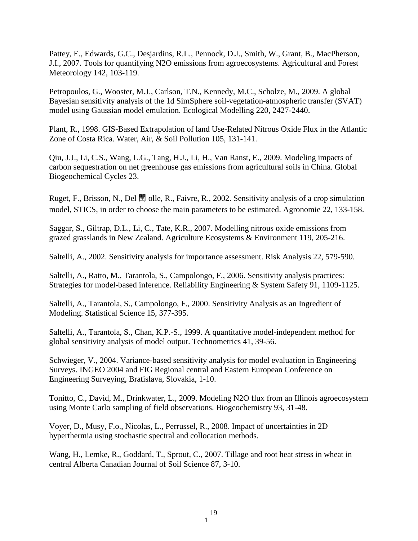Pattey, E., Edwards, G.C., Desjardins, R.L., Pennock, D.J., Smith, W., Grant, B., MacPherson, J.I., 2007. Tools for quantifying N2O emissions from agroecosystems. Agricultural and Forest Meteorology 142, 103-119.

Petropoulos, G., Wooster, M.J., Carlson, T.N., Kennedy, M.C., Scholze, M., 2009. A global Bayesian sensitivity analysis of the 1d SimSphere soil-vegetation-atmospheric transfer (SVAT) model using Gaussian model emulation. Ecological Modelling 220, 2427-2440.

Plant, R., 1998. GIS-Based Extrapolation of land Use-Related Nitrous Oxide Flux in the Atlantic Zone of Costa Rica. Water, Air, & Soil Pollution 105, 131-141.

Qiu, J.J., Li, C.S., Wang, L.G., Tang, H.J., Li, H., Van Ranst, E., 2009. Modeling impacts of carbon sequestration on net greenhouse gas emissions from agricultural soils in China. Global Biogeochemical Cycles 23.

Ruget, F., Brisson, N., Del 閏 olle, R., Faivre, R., 2002. Sensitivity analysis of a crop simulation model, STICS, in order to choose the main parameters to be estimated. Agronomie 22, 133-158.

Saggar, S., Giltrap, D.L., Li, C., Tate, K.R., 2007. Modelling nitrous oxide emissions from grazed grasslands in New Zealand. Agriculture Ecosystems & Environment 119, 205-216.

Saltelli, A., 2002. Sensitivity analysis for importance assessment. Risk Analysis 22, 579-590.

Saltelli, A., Ratto, M., Tarantola, S., Campolongo, F., 2006. Sensitivity analysis practices: Strategies for model-based inference. Reliability Engineering & System Safety 91, 1109-1125.

Saltelli, A., Tarantola, S., Campolongo, F., 2000. Sensitivity Analysis as an Ingredient of Modeling. Statistical Science 15, 377-395.

Saltelli, A., Tarantola, S., Chan, K.P.-S., 1999. A quantitative model-independent method for global sensitivity analysis of model output. Technometrics 41, 39-56.

Schwieger, V., 2004. Variance-based sensitivity analysis for model evaluation in Engineering Surveys. INGEO 2004 and FIG Regional central and Eastern European Conference on Engineering Surveying, Bratislava, Slovakia, 1-10.

Tonitto, C., David, M., Drinkwater, L., 2009. Modeling N2O flux from an Illinois agroecosystem using Monte Carlo sampling of field observations. Biogeochemistry 93, 31-48.

Voyer, D., Musy, F.o., Nicolas, L., Perrussel, R., 2008. Impact of uncertainties in 2D hyperthermia using stochastic spectral and collocation methods.

Wang, H., Lemke, R., Goddard, T., Sprout, C., 2007. Tillage and root heat stress in wheat in central Alberta Canadian Journal of Soil Science 87, 3-10.